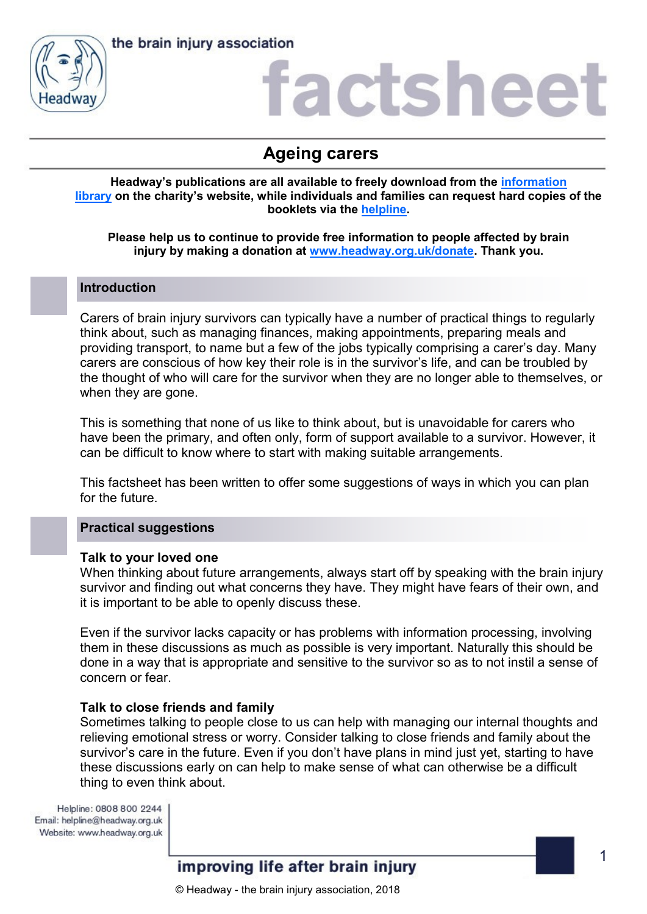

the brain injury association

### actshee

### **Ageing carers**

**Headway's publications are all available to freely download from the [information](https://www.headway.org.uk/about-brain-injury/individuals/information-library/)  [library](https://www.headway.org.uk/about-brain-injury/individuals/information-library/) on the charity's website, while individuals and families can request hard copies of the booklets via the [helpline.](https://www.headway.org.uk/supporting-you/helpline/)**

#### **Please help us to continue to provide free information to people affected by brain injury by making a donation at [www.headway.org.uk/donate.](http://www.headway.org.uk/donate) Thank you.**

#### **Introduction**

Carers of brain injury survivors can typically have a number of practical things to regularly think about, such as managing finances, making appointments, preparing meals and providing transport, to name but a few of the jobs typically comprising a carer's day. Many carers are conscious of how key their role is in the survivor's life, and can be troubled by the thought of who will care for the survivor when they are no longer able to themselves, or when they are gone.

This is something that none of us like to think about, but is unavoidable for carers who have been the primary, and often only, form of support available to a survivor. However, it can be difficult to know where to start with making suitable arrangements.

This factsheet has been written to offer some suggestions of ways in which you can plan for the future.

#### **Practical suggestions**

#### **Talk to your loved one**

When thinking about future arrangements, always start off by speaking with the brain injury survivor and finding out what concerns they have. They might have fears of their own, and it is important to be able to openly discuss these.

Even if the survivor lacks capacity or has problems with information processing, involving them in these discussions as much as possible is very important. Naturally this should be done in a way that is appropriate and sensitive to the survivor so as to not instil a sense of concern or fear.

#### **Talk to close friends and family**

Sometimes talking to people close to us can help with managing our internal thoughts and relieving emotional stress or worry. Consider talking to close friends and family about the survivor's care in the future. Even if you don't have plans in mind just yet, starting to have these discussions early on can help to make sense of what can otherwise be a difficult thing to even think about.

Helpline: 0808 800 2244 Email: helpline@headway.org.uk Website: www.headway.org.uk

#### improving life after brain injury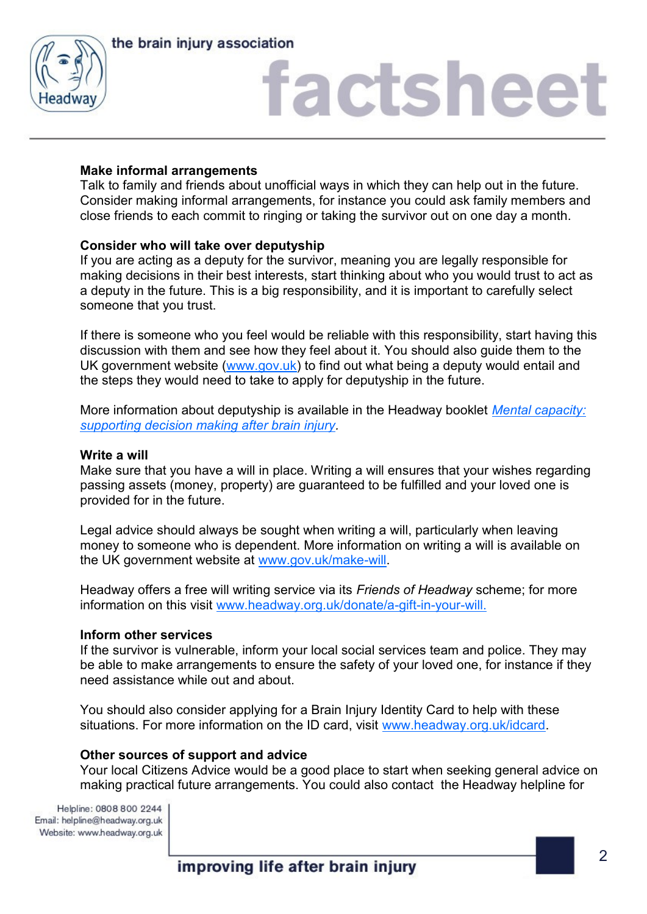



# factsheet

#### **Make informal arrangements**

Talk to family and friends about unofficial ways in which they can help out in the future. Consider making informal arrangements, for instance you could ask family members and close friends to each commit to ringing or taking the survivor out on one day a month.

#### **Consider who will take over deputyship**

If you are acting as a deputy for the survivor, meaning you are legally responsible for making decisions in their best interests, start thinking about who you would trust to act as a deputy in the future. This is a big responsibility, and it is important to carefully select someone that you trust.

If there is someone who you feel would be reliable with this responsibility, start having this discussion with them and see how they feel about it. You should also guide them to the UK government website [\(www.gov.uk\)](http://www.gov.uk) to find out what being a deputy would entail and the steps they would need to take to apply for deputyship in the future.

More information about deputyship is available in the Headway booklet *[Mental capacity:](https://www.headway.org.uk/media/4108/mental-capacity-supporting-decision-making-after-brain-injury-e-booklet.pdf)  [supporting decision making after brain injury.](https://www.headway.org.uk/media/4108/mental-capacity-supporting-decision-making-after-brain-injury-e-booklet.pdf)* 

#### **Write a will**

Make sure that you have a will in place. Writing a will ensures that your wishes regarding passing assets (money, property) are guaranteed to be fulfilled and your loved one is provided for in the future.

Legal advice should always be sought when writing a will, particularly when leaving money to someone who is dependent. More information on writing a will is available on the UK government website at [www.gov.uk/make-will.](http://www.gov.uk/make-will)

Headway offers a free will writing service via its *Friends of Headway* scheme; for more information on this visit [www.headway.org.uk/donate/a-gift-in-your-will.](https://www.headway.org.uk/donate/a-gift-in-your-will/) 

#### **Inform other services**

If the survivor is vulnerable, inform your local social services team and police. They may be able to make arrangements to ensure the safety of your loved one, for instance if they need assistance while out and about.

You should also consider applying for a Brain Injury Identity Card to help with these situations. For more information on the ID card, visit [www.headway.org.uk/idcard.](http://www.headway.org.uk/idcard)

#### **Other sources of support and advice**

Your local Citizens Advice would be a good place to start when seeking general advice on making practical future arrangements. You could also contact the Headway helpline for

Helpline: 0808 800 2244 Email: helpline@headway.org.uk Website: www.headway.org.uk

improving life after brain injury